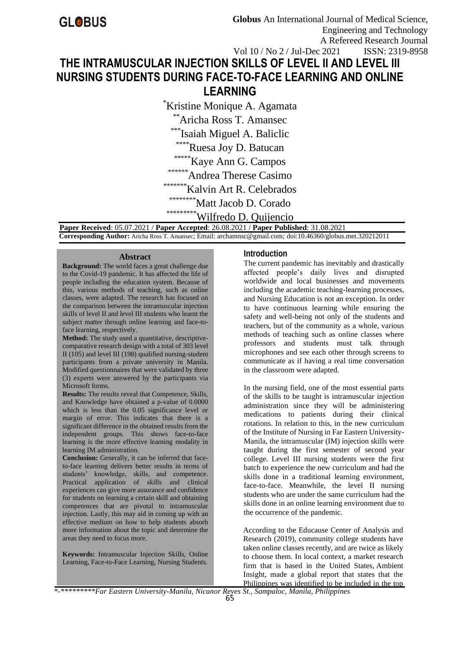# **THE INTRAMUSCULAR INJECTION SKILLS OF LEVEL II AND LEVEL III NURSING STUDENTS DURING FACE-TO-FACE LEARNING AND ONLINE LEARNING** Vol 10 / No 2 / Jul-Dec 2021 ISSN: 2319-8958

\*Kristine Monique A. Agamata

\*\*Aricha Ross T. Amansec

\*\*\*Isaiah Miguel A. Baliclic

\*\*\*\*Ruesa Joy D. Batucan

\*\*\*\*\*Kaye Ann G. Campos

\*\*\*\*\*\*Andrea Therese Casimo

\*\*\*\*\*\*\*Kalvin Art R. Celebrados

\*\*\*\*\*\*\*\*Matt Jacob D. Corado

\*\*\*\*\*\*\*\*\*\* Wilfredo D. Quijencio

 **Paper Received**: 05.07.2021 / **Paper Accepted**: 26.08.2021 / **Paper Published**: 31.08.2021  **Corresponding Author:** Aricha Ross T. Amansec; Email: archamnsc@gmail.com*;* doi:10.46360/globus.met.320212011

#### **Abstract**

**Background:** The world faces a great challenge due to the Covid-19 pandemic. It has affected the life of people including the education system. Because of this, various methods of teaching, such as online classes, were adapted. The research has focused on the comparison between the intramuscular injection skills of level II and level III students who learnt the subject matter through online learning and face-toface learning, respectively.

**Method:** The study used a quantitative, descriptivecomparative research design with a total of 303 level II (105) and level III (198) qualified nursing-student participants from a private university in Manila. Modified questionnaires that were validated by three (3) experts were answered by the participants via Microsoft forms.

**Results:** The results reveal that Competence, Skills, and Knowledge have obtained a p-value of 0.0000 which is less than the 0.05 significance level or margin of error. This indicates that there is a significant difference in the obtained results from the independent groups. This shows face-to-face learning is the more effective learning modality in learning IM administration.

**Conclusion:** Generally, it can be inferred that faceto-face learning delivers better results in terms of students' knowledge, skills, and competence. Practical application of skills and clinical experiences can give more assurance and confidence for students on learning a certain skill and obtaining competences that are pivotal to intramuscular injection. Lastly, this may aid in coming up with an effective medium on how to help students absorb more information about the topic and determine the areas they need to focus more.

**Keywords:** Intramuscular Injection Skills, Online Learning, Face-to-Face Learning, Nursing Students.

## **Introduction**

The current pandemic has inevitably and drastically affected people's daily lives and disrupted worldwide and local businesses and movements including the academic teaching-learning processes, and Nursing Education is not an exception. In order to have continuous learning while ensuring the safety and well-being not only of the students and teachers, but of the community as a whole, various methods of teaching such as online classes where professors and students must talk through microphones and see each other through screens to communicate as if having a real time conversation in the classroom were adapted.

In the nursing field, one of the most essential parts of the skills to be taught is intramuscular injection administration since they will be administering medications to patients during their clinical rotations. In relation to this, in the new curriculum of the Institute of Nursing in Far Eastern University-Manila, the intramuscular (IM) injection skills were taught during the first semester of second year college. Level III nursing students were the first batch to experience the new curriculum and had the skills done in a traditional learning environment, face-to-face. Meanwhile, the level II nursing students who are under the same curriculum had the skills done in an online learning environment due to the occurrence of the pandemic.

According to the Educause Center of Analysis and Research (2019), community college students have taken online classes recently, and are twice as likely to choose them. In local context, a market research firm that is based in the United States, Ambient Insight, made a global report that states that the Philippines was identified to be included in the top

*\*-\*\*\*\*\*\*\*\*\*Far Eastern University-Manila, Nicanor Reyes St., Sampaloc, Manila, Philippines*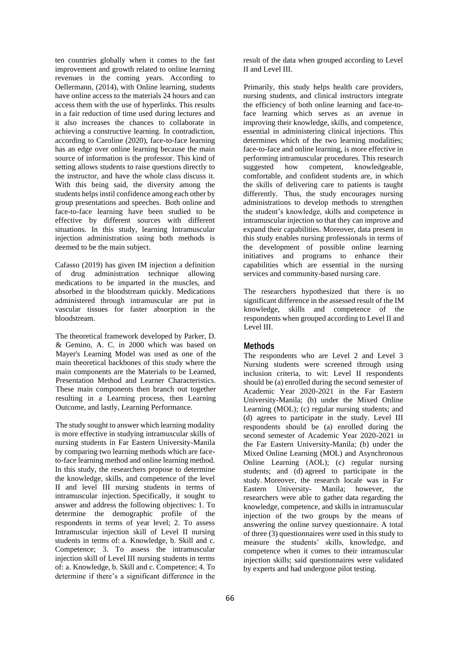ten countries globally when it comes to the fast improvement and growth related to online learning revenues in the coming years. According to Oellermann, (2014), with Online learning, students have online access to the materials 24 hours and can access them with the use of hyperlinks. This results in a fair reduction of time used during lectures and it also increases the chances to collaborate in achieving a constructive learning. In contradiction, according to Caroline (2020), face-to-face learning has an edge over online learning because the main source of information is the professor. This kind of setting allows students to raise questions directly to the instructor, and have the whole class discuss it. With this being said, the diversity among the students helps instil confidence among each other by group presentations and speeches. Both online and face-to-face learning have been studied to be effective by different sources with different situations. In this study, learning Intramuscular injection administration using both methods is deemed to be the main subject.

Cafasso (2019) has given IM injection a definition of drug administration technique allowing medications to be imparted in the muscles, and absorbed in the bloodstream quickly. Medications administered through intramuscular are put in vascular tissues for faster absorption in the bloodstream.

The theoretical framework developed by Parker, D. & Gemino, A. C. in 2000 which was based on Mayer's Learning Model was used as one of the main theoretical backbones of this study where the main components are the Materials to be Learned, Presentation Method and Learner Characteristics. These main components then branch out together resulting in a Learning process, then Learning Outcome, and lastly, Learning Performance.

The study sought to answer which learning modality is more effective in studying intramuscular skills of nursing students in Far Eastern University-Manila by comparing two learning methods which are faceto-face learning method and online learning method. In this study, the researchers propose to determine the knowledge, skills, and competence of the level II and level III nursing students in terms of intramuscular injection. Specifically, it sought to answer and address the following objectives: 1. To determine the demographic profile of the respondents in terms of year level; 2. To assess Intramuscular injection skill of Level II nursing students in terms of: a. Knowledge, b. Skill and c. Competence; 3. To assess the intramuscular injection skill of Level III nursing students in terms of: a. Knowledge, b. Skill and c. Competence; 4. To determine if there's a significant difference in the

result of the data when grouped according to Level II and Level III.

Primarily, this study helps health care providers, nursing students, and clinical instructors integrate the efficiency of both online learning and face-toface learning which serves as an avenue in improving their knowledge, skills, and competence, essential in administering clinical injections. This determines which of the two learning modalities; face-to-face and online learning, is more effective in performing intramuscular procedures. This research suggested how competent, knowledgeable, comfortable, and confident students are, in which the skills of delivering care to patients is taught differently. Thus, the study encourages nursing administrations to develop methods to strengthen the student's knowledge, skills and competence in intramuscular injection so that they can improve and expand their capabilities. Moreover, data present in this study enables nursing professionals in terms of the development of possible online learning initiatives and programs to enhance their capabilities which are essential in the nursing services and community-based nursing care.

The researchers hypothesized that there is no significant difference in the assessed result of the IM knowledge, skills and competence of the respondents when grouped according to Level II and Level III.

# **Methods**

The respondents who are Level 2 and Level 3 Nursing students were screened through using inclusion criteria, to wit: Level II respondents should be (a) enrolled during the second semester of Academic Year 2020-2021 in the Far Eastern University-Manila; (b) under the Mixed Online Learning (MOL); (c) regular nursing students; and (d) agrees to participate in the study. Level III respondents should be (a) enrolled during the second semester of Academic Year 2020-2021 in the Far Eastern University-Manila; (b) under the Mixed Online Learning (MOL) and Asynchronous Online Learning (AOL); (c) regular nursing students; and (d) agreed to participate in the study. Moreover, the research locale was in Far Eastern University- Manila; however, the researchers were able to gather data regarding the knowledge, competence, and skills in intramuscular injection of the two groups by the means of answering the online survey questionnaire. A total of three (3) questionnaires were used in this study to measure the students' skills, knowledge, and competence when it comes to their intramuscular injection skills; said questionnaires were validated by experts and had undergone pilot testing.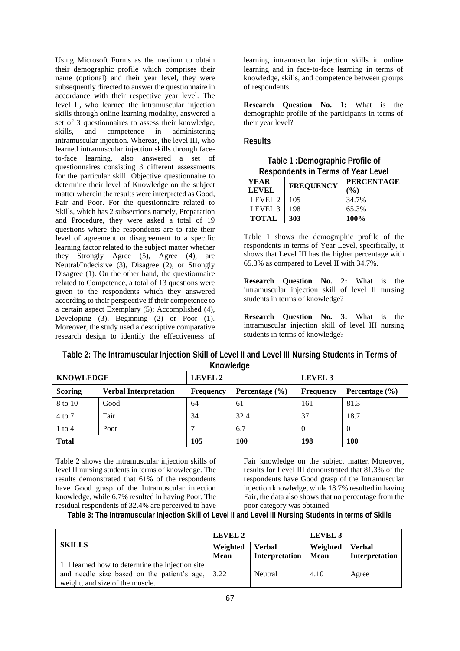Using Microsoft Forms as the medium to obtain their demographic profile which comprises their name (optional) and their year level, they were subsequently directed to answer the questionnaire in accordance with their respective year level. The level II, who learned the intramuscular injection skills through online learning modality, answered a set of 3 questionnaires to assess their knowledge, skills, and competence in administering intramuscular injection. Whereas, the level III, who learned intramuscular injection skills through faceto-face learning, also answered a set of questionnaires consisting 3 different assessments for the particular skill. Objective questionnaire to determine their level of Knowledge on the subject matter wherein the results were interpreted as Good, Fair and Poor. For the questionnaire related to Skills, which has 2 subsections namely, Preparation and Procedure, they were asked a total of 19 questions where the respondents are to rate their level of agreement or disagreement to a specific learning factor related to the subject matter whether they Strongly Agree (5), Agree (4), are Neutral/Indecisive (3), Disagree (2), or Strongly Disagree (1). On the other hand, the questionnaire related to Competence, a total of 13 questions were given to the respondents which they answered according to their perspective if their competence to a certain aspect Exemplary (5); Accomplished (4), Developing (3), Beginning (2) or Poor (1). Moreover, the study used a descriptive comparative research design to identify the effectiveness of

learning intramuscular injection skills in online learning and in face-to-face learning in terms of knowledge, skills, and competence between groups of respondents.

**Research Question No. 1:** What is the demographic profile of the participants in terms of their year level?

## **Results**

**Table 1 :Demographic Profile of Respondents in Terms of Year Level**

| YEAR<br><b>LEVEL</b> | <b>FREQUENCY</b> | <b>PERCENTAGE</b><br>$($ %) |
|----------------------|------------------|-----------------------------|
| LEVEL 2              | 105              | 34.7%                       |
| LEVEL 3              | 198              | 65.3%                       |
| <b>TOTAL</b>         | 303              | 100%                        |

Table 1 shows the demographic profile of the respondents in terms of Year Level, specifically, it shows that Level III has the higher percentage with 65.3% as compared to Level II with 34.7%.

**Research Question No. 2:** What is the intramuscular injection skill of level II nursing students in terms of knowledge?

**Research Question No. 3:** What is the intramuscular injection skill of level III nursing students in terms of knowledge?

| Table 2: The Intramuscular Injection Skill of Level II and Level III Nursing Students in Terms of |  |
|---------------------------------------------------------------------------------------------------|--|
| Knowledge                                                                                         |  |

| <b>KNOWLEDGE</b> |                              | LEVEL 2          |                    | LEVEL 3          |                    |
|------------------|------------------------------|------------------|--------------------|------------------|--------------------|
| <b>Scoring</b>   | <b>Verbal Interpretation</b> | <b>Frequency</b> | Percentage $(\% )$ | <b>Frequency</b> | Percentage $(\% )$ |
| 8 to 10          | Good                         | 64               | 61                 | 161              | 81.3               |
| 4 to 7           | Fair                         | 34               | 32.4               | 37               | 18.7               |
| $1$ to $4$       | Poor                         |                  | 6.7                |                  | -0                 |
| <b>Total</b>     |                              | 105              | 100                | 198              | <b>100</b>         |

Table 2 shows the intramuscular injection skills of level II nursing students in terms of knowledge. The results demonstrated that 61% of the respondents have Good grasp of the Intramuscular injection knowledge, while 6.7% resulted in having Poor. The residual respondents of 32.4% are perceived to have

Fair knowledge on the subject matter. Moreover, results for Level III demonstrated that 81.3% of the respondents have Good grasp of the Intramuscular injection knowledge, while 18.7% resulted in having Fair, the data also shows that no percentage from the poor category was obtained.

**Table 3: The Intramuscular Injection Skill of Level II and Level III Nursing Students in terms of Skills**

|                                                                                                                                    | LEVEL 2                 |                                 | LEVEL 3                 |                                 |
|------------------------------------------------------------------------------------------------------------------------------------|-------------------------|---------------------------------|-------------------------|---------------------------------|
| <b>SKILLS</b>                                                                                                                      | Weighted<br><b>Mean</b> | <b>Verbal</b><br>Interpretation | Weighted<br><b>Mean</b> | <b>Verbal</b><br>Interpretation |
| 1. I learned how to determine the injection site<br>and needle size based on the patient's age,<br>weight, and size of the muscle. | 3.22                    | Neutral                         | 4.10                    | Agree                           |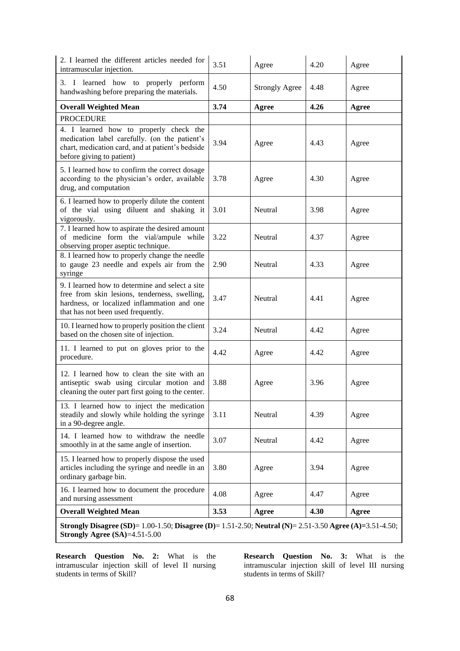| 2. I learned the different articles needed for<br>intramuscular injection.                                                                                                            | 3.51 | Agree                 | 4.20 | Agree |  |  |
|---------------------------------------------------------------------------------------------------------------------------------------------------------------------------------------|------|-----------------------|------|-------|--|--|
| 3. I learned how to properly perform<br>handwashing before preparing the materials.                                                                                                   | 4.50 | <b>Strongly Agree</b> | 4.48 | Agree |  |  |
| <b>Overall Weighted Mean</b>                                                                                                                                                          | 3.74 | Agree                 | 4.26 | Agree |  |  |
| <b>PROCEDURE</b>                                                                                                                                                                      |      |                       |      |       |  |  |
| 4. I learned how to properly check the<br>medication label carefully. (on the patient's<br>chart, medication card, and at patient's bedside<br>before giving to patient)              | 3.94 | Agree                 | 4.43 | Agree |  |  |
| 5. I learned how to confirm the correct dosage<br>according to the physician's order, available<br>drug, and computation                                                              | 3.78 | Agree                 | 4.30 | Agree |  |  |
| 6. I learned how to properly dilute the content<br>of the vial using diluent and shaking it<br>vigorously.                                                                            | 3.01 | Neutral               | 3.98 | Agree |  |  |
| 7. I learned how to aspirate the desired amount<br>of medicine form the vial/ampule while<br>observing proper aseptic technique.                                                      | 3.22 | Neutral               | 4.37 | Agree |  |  |
| 8. I learned how to properly change the needle<br>to gauge 23 needle and expels air from the<br>syringe                                                                               | 2.90 | Neutral               | 4.33 | Agree |  |  |
| 9. I learned how to determine and select a site<br>free from skin lesions, tenderness, swelling,<br>hardness, or localized inflammation and one<br>that has not been used frequently. | 3.47 | Neutral               | 4.41 | Agree |  |  |
| 10. I learned how to properly position the client<br>based on the chosen site of injection.                                                                                           | 3.24 | Neutral               | 4.42 | Agree |  |  |
| 11. I learned to put on gloves prior to the<br>procedure.                                                                                                                             | 4.42 | Agree                 | 4.42 | Agree |  |  |
| 12. I learned how to clean the site with an<br>antiseptic swab using circular motion and<br>cleaning the outer part first going to the center.                                        | 3.88 | Agree                 | 3.96 | Agree |  |  |
| 13. I learned how to inject the medication<br>steadily and slowly while holding the syringe<br>in a 90-degree angle.                                                                  | 3.11 | Neutral               | 4.39 | Agree |  |  |
| 14. I learned how to withdraw the needle<br>smoothly in at the same angle of insertion.                                                                                               | 3.07 | Neutral               | 4.42 | Agree |  |  |
| 15. I learned how to properly dispose the used<br>articles including the syringe and needle in an<br>ordinary garbage bin.                                                            | 3.80 | Agree                 | 3.94 | Agree |  |  |
| 16. I learned how to document the procedure<br>and nursing assessment                                                                                                                 | 4.08 | Agree                 | 4.47 | Agree |  |  |
| <b>Overall Weighted Mean</b>                                                                                                                                                          | 3.53 | Agree                 | 4.30 | Agree |  |  |
| Strongly Disagree (SD)= 1.00-1.50; Disagree (D)= 1.51-2.50; Neutral (N)= 2.51-3.50 Agree (A)=3.51-4.50;<br>Strongly Agree $(SA)=4.51-5.00$                                            |      |                       |      |       |  |  |

**Research Question No. 2:** What is the intramuscular injection skill of level II nursing students in terms of Skill?

**Research Question No. 3:** What is the intramuscular injection skill of level III nursing students in terms of Skill?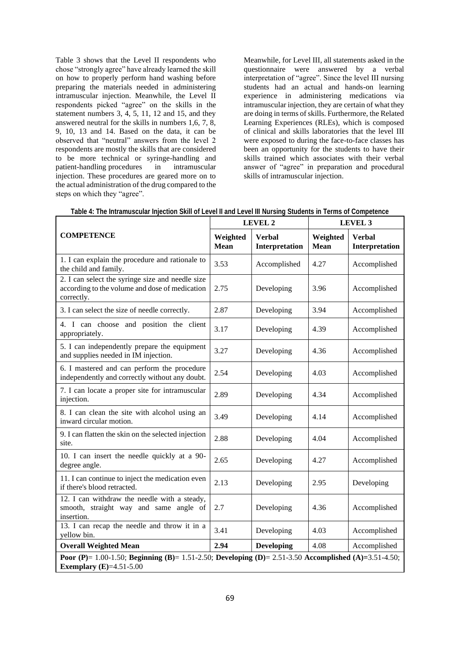Table 3 shows that the Level II respondents who chose "strongly agree" have already learned the skill on how to properly perform hand washing before preparing the materials needed in administering intramuscular injection. Meanwhile, the Level II respondents picked "agree" on the skills in the statement numbers 3, 4, 5, 11, 12 and 15, and they answered neutral for the skills in numbers 1,6, 7, 8, 9, 10, 13 and 14. Based on the data, it can be observed that "neutral" answers from the level 2 respondents are mostly the skills that are considered to be more technical or syringe-handling and patient-handling procedures in intramuscular injection. These procedures are geared more on to the actual administration of the drug compared to the steps on which they "agree".

Meanwhile, for Level III, all statements asked in the questionnaire were answered by a verbal interpretation of "agree". Since the level III nursing students had an actual and hands-on learning experience in administering medications via intramuscular injection, they are certain of what they are doing in terms of skills. Furthermore, the Related Learning Experiences (RLEs), which is composed of clinical and skills laboratories that the level III were exposed to during the face-to-face classes has been an opportunity for the students to have their skills trained which associates with their verbal answer of "agree" in preparation and procedural skills of intramuscular injection.

|                                                                                                                                        |                         | <b>LEVEL 2</b>                  | LEVEL 3                 |                                 |  |
|----------------------------------------------------------------------------------------------------------------------------------------|-------------------------|---------------------------------|-------------------------|---------------------------------|--|
| <b>COMPETENCE</b>                                                                                                                      | Weighted<br><b>Mean</b> | <b>Verbal</b><br>Interpretation | Weighted<br><b>Mean</b> | <b>Verbal</b><br>Interpretation |  |
| 1. I can explain the procedure and rationale to<br>the child and family.                                                               | 3.53                    | Accomplished                    | 4.27                    | Accomplished                    |  |
| 2. I can select the syringe size and needle size<br>according to the volume and dose of medication<br>correctly.                       | 2.75                    | Developing                      | 3.96                    | Accomplished                    |  |
| 3. I can select the size of needle correctly.                                                                                          | 2.87                    | Developing                      | 3.94                    | Accomplished                    |  |
| 4. I can choose and position the client<br>appropriately.                                                                              | 3.17                    | Developing                      | 4.39                    | Accomplished                    |  |
| 5. I can independently prepare the equipment<br>and supplies needed in IM injection.                                                   | 3.27                    | Developing                      | 4.36                    | Accomplished                    |  |
| 6. I mastered and can perform the procedure<br>independently and correctly without any doubt.                                          | 2.54                    | Developing                      | 4.03                    | Accomplished                    |  |
| 7. I can locate a proper site for intramuscular<br>injection.                                                                          | 2.89                    | Developing                      | 4.34                    | Accomplished                    |  |
| 8. I can clean the site with alcohol using an<br>inward circular motion.                                                               | 3.49                    | Developing                      | 4.14                    | Accomplished                    |  |
| 9. I can flatten the skin on the selected injection<br>site.                                                                           | 2.88                    | Developing                      | 4.04                    | Accomplished                    |  |
| 10. I can insert the needle quickly at a 90-<br>degree angle.                                                                          | 2.65                    | Developing                      | 4.27                    | Accomplished                    |  |
| 11. I can continue to inject the medication even<br>if there's blood retracted.                                                        | 2.13                    | Developing                      | 2.95                    | Developing                      |  |
| 12. I can withdraw the needle with a steady,<br>smooth, straight way and same angle of<br>insertion.                                   | 2.7                     | Developing                      | 4.36                    | Accomplished                    |  |
| 13. I can recap the needle and throw it in a<br>yellow bin.                                                                            | 3.41                    | Developing                      | 4.03                    | Accomplished                    |  |
| <b>Overall Weighted Mean</b>                                                                                                           | 2.94                    | Developing                      | 4.08                    | Accomplished                    |  |
| Poor (P)= 1.00-1.50; Beginning (B)= 1.51-2.50; Developing (D)= 2.51-3.50 Accomplished (A)=3.51-4.50;<br><b>Exemplary</b> (E)=4.51-5.00 |                         |                                 |                         |                                 |  |

**Table 4: The Intramuscular Injection Skill of Level II and Level III Nursing Students in Terms of Competence**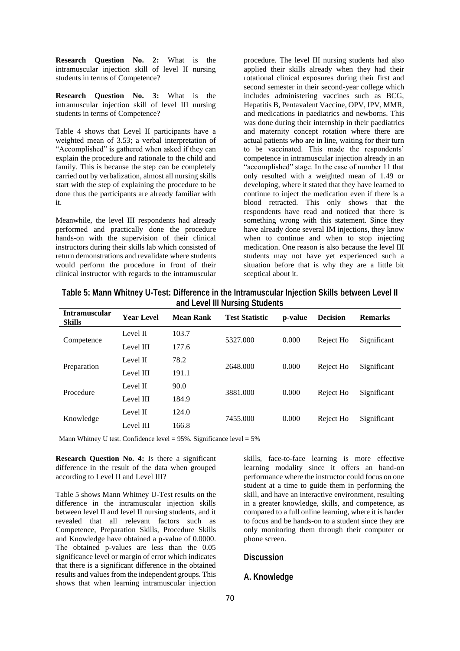**Research Question No. 2:** What is the intramuscular injection skill of level II nursing students in terms of Competence?

**Research Question No. 3:** What is the intramuscular injection skill of level III nursing students in terms of Competence?

Table 4 shows that Level II participants have a weighted mean of 3.53; a verbal interpretation of "Accomplished" is gathered when asked if they can explain the procedure and rationale to the child and family. This is because the step can be completely carried out by verbalization, almost all nursing skills start with the step of explaining the procedure to be done thus the participants are already familiar with it.

Meanwhile, the level III respondents had already performed and practically done the procedure hands-on with the supervision of their clinical instructors during their skills lab which consisted of return demonstrations and revalidate where students would perform the procedure in front of their clinical instructor with regards to the intramuscular procedure. The level III nursing students had also applied their skills already when they had their rotational clinical exposures during their first and second semester in their second-year college which includes administering vaccines such as BCG, Hepatitis B, Pentavalent Vaccine, OPV, IPV, MMR, and medications in paediatrics and newborns. This was done during their internship in their paediatrics and maternity concept rotation where there are actual patients who are in line, waiting for their turn to be vaccinated. This made the respondents' competence in intramuscular injection already in an "accomplished" stage. In the case of number 11 that only resulted with a weighted mean of 1.49 or developing, where it stated that they have learned to continue to inject the medication even if there is a blood retracted. This only shows that the respondents have read and noticed that there is something wrong with this statement. Since they have already done several IM injections, they know when to continue and when to stop injecting medication. One reason is also because the level III students may not have yet experienced such a situation before that is why they are a little bit sceptical about it.

**Table 5: Mann Whitney U-Test: Difference in the Intramuscular Injection Skills between Level II and Level III Nursing Students**

| <b>Intramuscular</b><br><b>Skills</b> | Year Level | <b>Mean Rank</b> | <b>Test Statistic</b> | p-value | <b>Decision</b> | <b>Remarks</b> |
|---------------------------------------|------------|------------------|-----------------------|---------|-----------------|----------------|
| Competence                            | Level II   | 103.7            | 5327,000              | 0.000   | Reject Ho       | Significant    |
|                                       | Level III  | 177.6            |                       |         |                 |                |
| Preparation                           | Level II   | 78.2             | 2648,000              | 0.000   | Reject Ho       | Significant    |
|                                       | Level III  | 191.1            |                       |         |                 |                |
| Procedure                             | Level II   | 90.0             | 3881.000              | 0.000   | Reject Ho       | Significant    |
|                                       | Level III  | 184.9            |                       |         |                 |                |
| Knowledge                             | Level II   | 124.0            | 7455.000              | 0.000   | Reject Ho       | Significant    |
|                                       | Level III  | 166.8            |                       |         |                 |                |

Mann Whitney U test. Confidence level =  $95\%$ . Significance level =  $5\%$ 

**Research Question No. 4:** Is there a significant difference in the result of the data when grouped according to Level II and Level III?

Table 5 shows Mann Whitney U-Test results on the difference in the intramuscular injection skills between level II and level II nursing students, and it revealed that all relevant factors such as Competence, Preparation Skills, Procedure Skills and Knowledge have obtained a p-value of 0.0000. The obtained p-values are less than the 0.05 significance level or margin of error which indicates that there is a significant difference in the obtained results and values from the independent groups. This shows that when learning intramuscular injection

skills, face-to-face learning is more effective learning modality since it offers an hand-on performance where the instructor could focus on one student at a time to guide them in performing the skill, and have an interactive environment, resulting in a greater knowledge, skills, and competence, as compared to a full online learning, where it is harder to focus and be hands-on to a student since they are only monitoring them through their computer or phone screen.

#### **Discussion**

#### **A. Knowledge**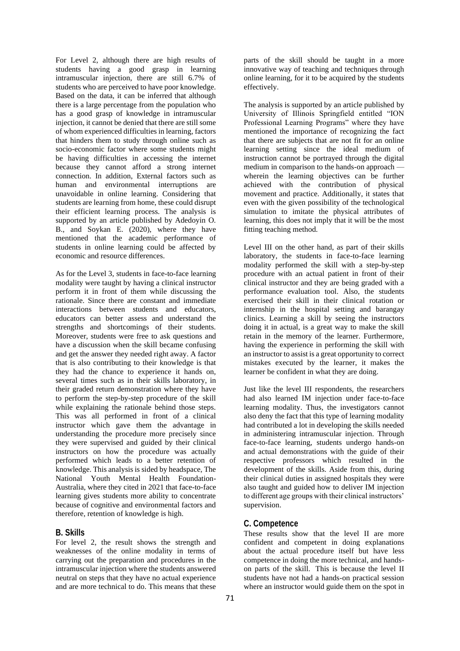For Level 2, although there are high results of students having a good grasp in learning intramuscular injection, there are still 6.7% of students who are perceived to have poor knowledge. Based on the data, it can be inferred that although there is a large percentage from the population who has a good grasp of knowledge in intramuscular injection, it cannot be denied that there are still some of whom experienced difficulties in learning, factors that hinders them to study through online such as socio-economic factor where some students might be having difficulties in accessing the internet because they cannot afford a strong internet connection. In addition, External factors such as human and environmental interruptions are unavoidable in online learning. Considering that students are learning from home, these could disrupt their efficient learning process. The analysis is supported by an article published by Adedoyin O. B., and Soykan E. (2020), where they have mentioned that the academic performance of students in online learning could be affected by economic and resource differences.

As for the Level 3, students in face-to-face learning modality were taught by having a clinical instructor perform it in front of them while discussing the rationale. Since there are constant and immediate interactions between students and educators, educators can better assess and understand the strengths and shortcomings of their students. Moreover, students were free to ask questions and have a discussion when the skill became confusing and get the answer they needed right away. A factor that is also contributing to their knowledge is that they had the chance to experience it hands on, several times such as in their skills laboratory, in their graded return demonstration where they have to perform the step-by-step procedure of the skill while explaining the rationale behind those steps. This was all performed in front of a clinical instructor which gave them the advantage in understanding the procedure more precisely since they were supervised and guided by their clinical instructors on how the procedure was actually performed which leads to a better retention of knowledge. This analysis is sided by headspace, The National Youth Mental Health Foundation-Australia, where they cited in 2021 that face-to-face learning gives students more ability to concentrate because of cognitive and environmental factors and therefore, retention of knowledge is high.

#### **B. Skills**

For level 2, the result shows the strength and weaknesses of the online modality in terms of carrying out the preparation and procedures in the intramuscular injection where the students answered neutral on steps that they have no actual experience and are more technical to do. This means that these

parts of the skill should be taught in a more innovative way of teaching and techniques through online learning, for it to be acquired by the students effectively.

The analysis is supported by an article published by University of Illinois Springfield entitled "ION Professional Learning Programs" where they have mentioned the importance of recognizing the fact that there are subjects that are not fit for an online learning setting since the ideal medium of instruction cannot be portrayed through the digital medium in comparison to the hands-on approach wherein the learning objectives can be further achieved with the contribution of physical movement and practice. Additionally, it states that even with the given possibility of the technological simulation to imitate the physical attributes of learning, this does not imply that it will be the most fitting teaching method.

Level III on the other hand, as part of their skills laboratory, the students in face-to-face learning modality performed the skill with a step-by-step procedure with an actual patient in front of their clinical instructor and they are being graded with a performance evaluation tool. Also, the students exercised their skill in their clinical rotation or internship in the hospital setting and barangay clinics. Learning a skill by seeing the instructors doing it in actual, is a great way to make the skill retain in the memory of the learner. Furthermore, having the experience in performing the skill with an instructor to assist is a great opportunity to correct mistakes executed by the learner, it makes the learner be confident in what they are doing.

Just like the level III respondents, the researchers had also learned IM injection under face-to-face learning modality. Thus, the investigators cannot also deny the fact that this type of learning modality had contributed a lot in developing the skills needed in administering intramuscular injection. Through face-to-face learning, students undergo hands-on and actual demonstrations with the guide of their respective professors which resulted in the development of the skills. Aside from this, during their clinical duties in assigned hospitals they were also taught and guided how to deliver IM injection to different age groups with their clinical instructors' supervision.

# **C. Competence**

These results show that the level II are more confident and competent in doing explanations about the actual procedure itself but have less competence in doing the more technical, and handson parts of the skill. This is because the level II students have not had a hands-on practical session where an instructor would guide them on the spot in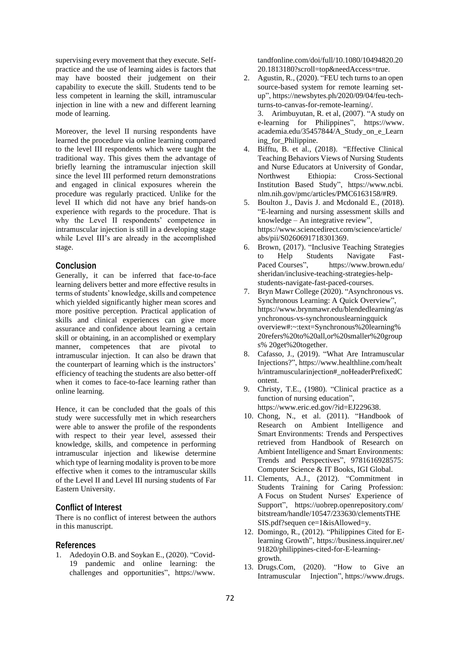supervising every movement that they execute. Selfpractice and the use of learning aides is factors that may have boosted their judgement on their capability to execute the skill. Students tend to be less competent in learning the skill, intramuscular injection in line with a new and different learning mode of learning.

Moreover, the level II nursing respondents have learned the procedure via online learning compared to the level III respondents which were taught the traditional way. This gives them the advantage of briefly learning the intramuscular injection skill since the level III performed return demonstrations and engaged in clinical exposures wherein the procedure was regularly practiced. Unlike for the level II which did not have any brief hands-on experience with regards to the procedure. That is why the Level II respondents' competence in intramuscular injection is still in a developing stage while Level III's are already in the accomplished stage.

#### **Conclusion**

Generally, it can be inferred that face-to-face learning delivers better and more effective results in terms of students' knowledge, skills and competence which yielded significantly higher mean scores and more positive perception. Practical application of skills and clinical experiences can give more assurance and confidence about learning a certain skill or obtaining, in an accomplished or exemplary manner, competences that are pivotal to intramuscular injection. It can also be drawn that the counterpart of learning which is the instructors' efficiency of teaching the students are also better-off when it comes to face-to-face learning rather than online learning.

Hence, it can be concluded that the goals of this study were successfully met in which researchers were able to answer the profile of the respondents with respect to their year level, assessed their knowledge, skills, and competence in performing intramuscular injection and likewise determine which type of learning modality is proven to be more effective when it comes to the intramuscular skills of the Level II and Level III nursing students of Far Eastern University.

#### **Conflict of Interest**

There is no conflict of interest between the authors in this manuscript.

### **References**

1. Adedoyin O.B. and Soykan E., (2020). "Covid-19 pandemic and online learning: the challenges and opportunities", https://www. tandfonline.com/doi/full/10.1080/10494820.20 20.1813180?scroll=top&needAccess=true.

2. Agustin, R., (2020). "FEU tech turns to an open source-based system for remote learning setup", https://newsbytes.ph/2020/09/04/feu-techturns-to-canvas-for-remote-learning/.

3. Arimbuyutan, R. et al, (2007). "A study on e-learning for Philippines", https://www. academia.edu/35457844/A\_Study\_on\_e\_Learn ing\_for\_Philippine.

- 4. Bifftu, B. et al., (2018). "Effective Clinical Teaching Behaviors Views of Nursing Students and Nurse Educators at University of Gondar, Northwest Ethiopia: Cross-Sectional Institution Based Study", https://www.ncbi. nlm.nih.gov/pmc/articles/PMC6163158/#R9.
- 5. Boulton J., Davis J. and Mcdonald E., (2018). "E-learning and nursing assessment skills and knowledge – An integrative review", https://www.sciencedirect.com/science/article/ abs/pii/S0260691718301369.
- 6. Brown, (2017). "Inclusive Teaching Strategies to Help Students Navigate Fast-Paced Courses", https://www.brown.edu/ sheridan/inclusive-teaching-strategies-helpstudents-navigate-fast-paced-courses.
- 7. Bryn Mawr College (2020). "Asynchronous vs. Synchronous Learning: A Quick Overview", https://www.brynmawr.edu/blendedlearning/as ynchronous-vs-synchronouslearningquick overview#:~:text=Synchronous%20learning% 20refers%20to%20all,or%20smaller%20group s% 20get%20together.
- 8. Cafasso, J., (2019). "What Are Intramuscular Injections?", https://www.healthline.com/healt h/intramuscularinjection#\_noHeaderPrefixedC ontent.
- 9. Christy, T.E., (1980). "Clinical practice as a function of nursing education", https://www.eric.ed.gov/?id=EJ229638.
- 10. Chong, N., et al. (2011). "Handbook of Research on Ambient Intelligence and Smart Environments: Trends and Perspectives retrieved from Handbook of Research on Ambient Intelligence and Smart Environments: Trends and Perspectives", 9781616928575: Computer Science & IT Books, IGI Global.
- 11. Clements, A.J., (2012). "Commitment in Students Training for Caring Profession: A Focus on Student Nurses' Experience of Support", https://uobrep.openrepository.com/ bitstream/handle/10547/233630/clementsTHE SIS.pdf?sequen ce=1&isAllowed=y.
- 12. Domingo, R., (2012). "Philippines Cited for Elearning Growth", https://business.inquirer.net/ 91820/philippines-cited-for-E-learninggrowth.
- 13. Drugs.Com, (2020). "How to Give an Intramuscular Injection", https://www.drugs.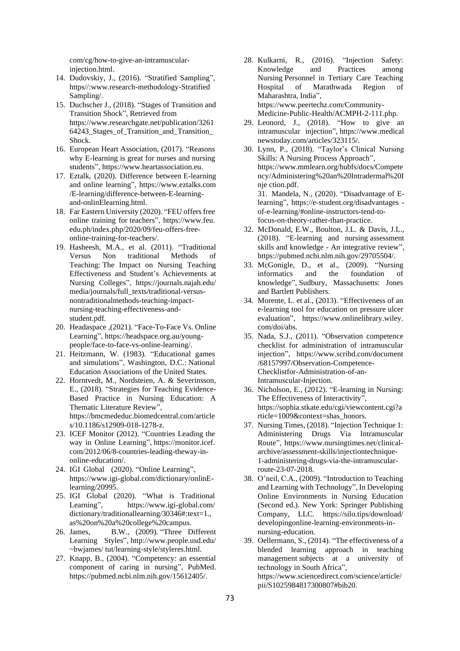com/cg/how-to-give-an-intramuscularinjection.html.

- 14. Dudovskiy, J., (2016). "Stratified Sampling", https//:www.research-methodology-Stratified Sampling/.
- 15. Duchscher J., (2018). "Stages of Transition and Transition Shock", Retrieved from https://www.researchgate.net/publication/3261 64243\_Stages\_of\_Transition\_and\_Transition\_ Shock.
- 16. European Heart Association, (2017). "Reasons why E-learning is great for nurses and nursing students", https://www.heartassociation.eu.
- 17. Eztalk, (2020). Difference between E-learning and online learning", https://www.eztalks.com /E-learning/difference-between-E-learningand-onlinElearning.html.
- 18. Far Eastern University (2020). "FEU offers free online training for teachers", https://www.feu. edu.ph/index.php/2020/09/feu-offers-freeonline-training-for-teachers/.
- 19. Hasheesh, M.A., et al. (2011). "Traditional Versus Non traditional Methods of Teaching: The Impact on Nursing Teaching Effectiveness and Student's Achievements at Nursing Colleges", https://journals.najah.edu/ media/journals/full\_texts/traditional-versusnontraditionalmethods-teaching-impactnursing-teaching-effectiveness-andstudent.pdf.
- 20. Headaspace ,(2021). "Face-To-Face Vs. Online Learning", https://headspace.org.au/youngpeople/face-to-face-vs-online-learning/.
- 21. Heitzmann, W. (1983). "Educational games and simulations", Washington, D.C.: National Education Associations of the United States.
- 22. Horntvedt, M., Nordsteien, A. & Severinsson, E., (2018). "Strategies for Teaching Evidence-Based Practice in Nursing Education: A Thematic Literature Review", https://bmcmededuc.biomedcentral.com/article s/10.1186/s12909-018-1278-z.
- 23. ICEF Monitor (2012). "Countries Leading the way in Online Learning", https://monitor.icef. com/2012/06/8-countries-leading-theway-inonline-education/.
- 24. IGI Global (2020). "Online Learning", https://www.igi-global.com/dictionary/onlinElearning/20995.
- 25. IGI Global (2020). "What is Traditional Learning", https://www.igi-global.com/ dictionary/traditionallearning/30346#:text=1., as%20on%20a%20college%20campus.
- 26. James, B.W., (2009). "Three Different Learning Styles", http://www.people.usd.edu/ ~bwjames/ tut/learning-style/styleres.html.
- 27. Knapp, B., (2004). "Competency: an essential component of caring in nursing", PubMed. https://pubmed.ncbi.nlm.nih.gov/15612405/.
- 28. Kulkarni, R., (2016). "Injection Safety: Knowledge and Practices among Nursing Personnel in Tertiary Care Teaching Hospital of Marathwada Region of Maharashtra, India", https://www.peertechz.com/Community-Medicine-Public-Health/ACMPH-2-111.php.
- 29. Leonord, J., (2018). "How to give an intramuscular injection", https://www.medical newstoday.com/articles/323115/.
- 30. Lynn, P., (2018). "Taylor's Clinical Nursing Skills: A Nursing Process Approach", https://www.mmlearn.org/hubfs/docs/Compete ncy/Administering%20an%20Intradermal%20I nje ction.pdf. 31. Mandela, N., (2020). "Disadvantage of Elearning", https://e-student.org/disadvantages of-e-learning/#online-instructors-tend-to-

focus-on-theory-rather-than-practice.

- 32. McDonald, E.W., Boulton, J.L. & Davis, J.L., (2018). "E-learning and nursing assessment skills and knowledge - An integrative review", https://pubmed.ncbi.nlm.nih.gov/29705504/.
- 33. McGonigle, D., et al., (2009). "Nursing informatics and the foundation of knowledge", Sudbury, Massachusetts: Jones and Bartlett Publishers.
- 34. Morente, L. et al., (2013). "Effectiveness of an e‐learning tool for education on pressure ulcer evaluation", https://www.onlinelibrary.wiley. com/doi/abs.
- 35. Nada, S.J., (2011). "Observation competence checklist for administration of intramuscular injection", https://www.scribd.com/document /68157997/Observation-Competence-Checklistfor-Administration-of-an-Intramuscular-Injection.
- 36. Nicholson, E., (2012). "E-learning in Nursing: The Effectiveness of Interactivity", https://sophia.stkate.edu/cgi/viewcontent.cgi?a rticle=1009&context=shas\_honors.
- 37. Nursing Times, (2018). "Injection Technique 1: Administering Drugs Via Intramuscular Route", https://www.nursingtimes.net/clinicalarchive/assessment-skills/injectiontechnique-1-administering-drugs-via-the-intramuscularroute-23-07-2018.
- 38. O'neil, C.A., (2009). "Introduction to Teaching and Learning with Technology", In Developing Online Environments in Nursing Education (Second ed.). New York: Springer Publishing Company, LLC. https://silo.tips/download/ developingonline-learning-environments-innursing-education.
- 39. Oellermann, S., (2014). "The effectiveness of a blended learning approach in teaching management subjects at a university of technology in South Africa", https://www.sciencedirect.com/science/article/ pii/S1025984817300807#bib20.